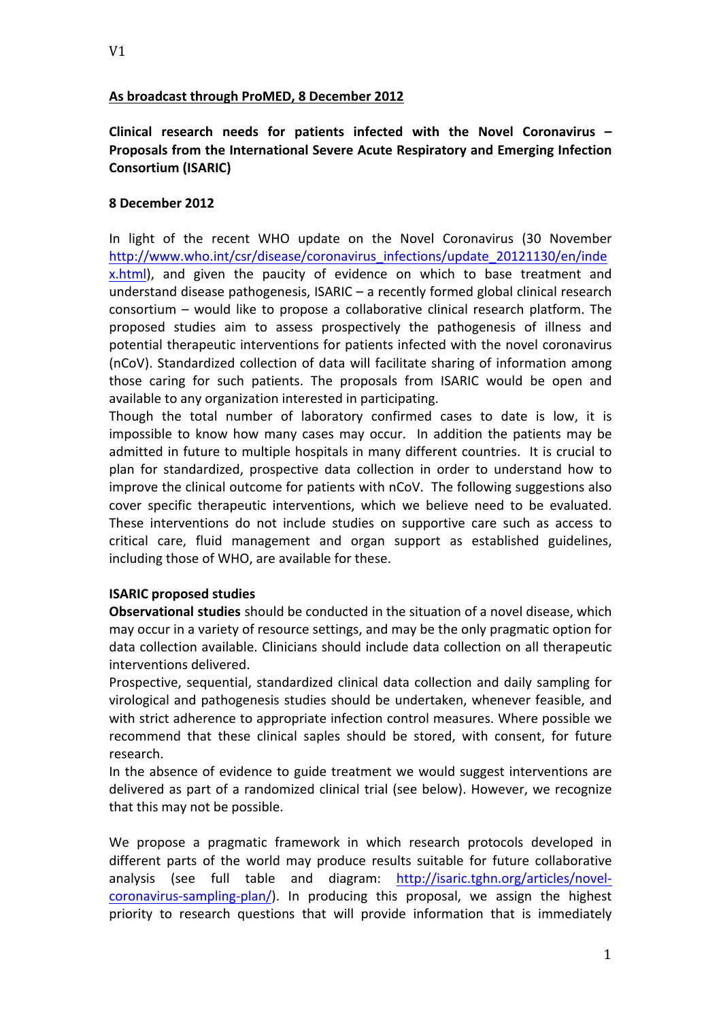### As broadcast through ProMED, 8 December 2012

**Clinical research needs for patients infected with the Novel Coronavirus –** Proposals from the International Severe Acute Respiratory and Emerging Infection **Consortium (ISARIC)**

#### **8 December 2012**

In light of the recent WHO update on the Novel Coronavirus (30 November http://www.who.int/csr/disease/coronavirus\_infections/update\_20121130/en/inde x.html), and given the paucity of evidence on which to base treatment and understand disease pathogenesis,  $ISARIC - a$  recently formed global clinical research consortium  $-$  would like to propose a collaborative clinical research platform. The proposed studies aim to assess prospectively the pathogenesis of illness and potential therapeutic interventions for patients infected with the novel coronavirus (nCoV). Standardized collection of data will facilitate sharing of information among those caring for such patients. The proposals from ISARIC would be open and available to any organization interested in participating.

Though the total number of laboratory confirmed cases to date is low, it is impossible to know how many cases may occur. In addition the patients may be admitted in future to multiple hospitals in many different countries. It is crucial to plan for standardized, prospective data collection in order to understand how to improve the clinical outcome for patients with nCoV. The following suggestions also cover specific therapeutic interventions, which we believe need to be evaluated. These interventions do not include studies on supportive care such as access to critical care, fluid management and organ support as established guidelines, including those of WHO, are available for these.

# **ISARIC proposed studies**

**Observational studies** should be conducted in the situation of a novel disease, which may occur in a variety of resource settings, and may be the only pragmatic option for data collection available. Clinicians should include data collection on all therapeutic interventions delivered. 

Prospective, sequential, standardized clinical data collection and daily sampling for virological and pathogenesis studies should be undertaken, whenever feasible, and with strict adherence to appropriate infection control measures. Where possible we recommend that these clinical saples should be stored, with consent, for future research. 

In the absence of evidence to guide treatment we would suggest interventions are delivered as part of a randomized clinical trial (see below). However, we recognize that this may not be possible.

We propose a pragmatic framework in which research protocols developed in different parts of the world may produce results suitable for future collaborative analysis (see full table and diagram: http://isaric.tghn.org/articles/novelcoronavirus-sampling-plan/). In producing this proposal, we assign the highest priority to research questions that will provide information that is immediately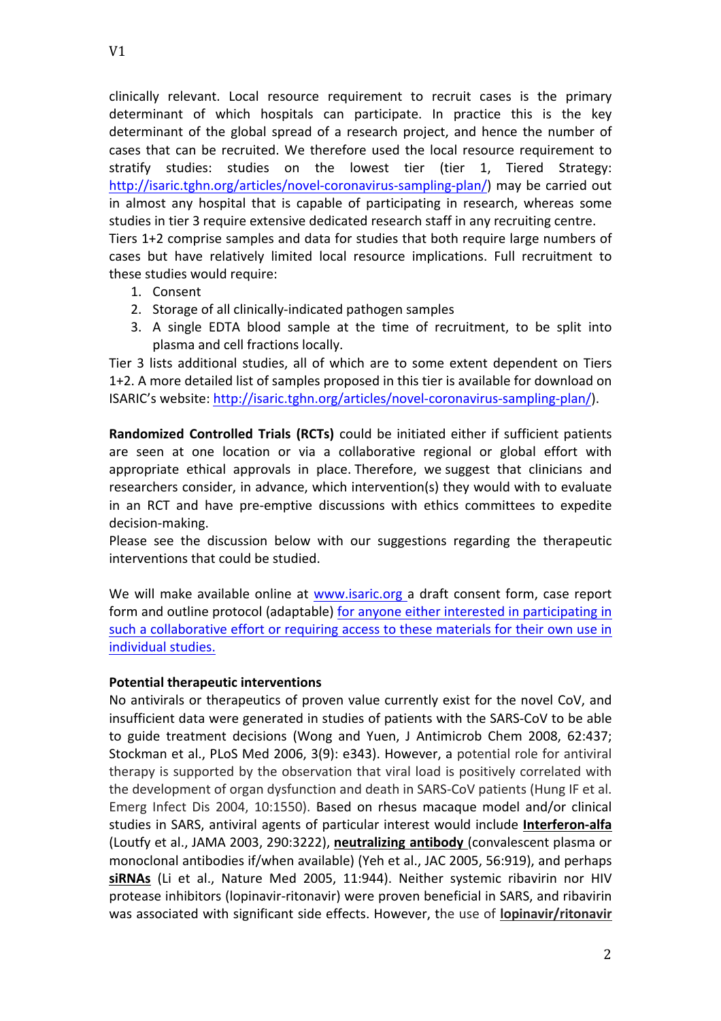clinically relevant. Local resource requirement to recruit cases is the primary determinant of which hospitals can participate. In practice this is the key determinant of the global spread of a research project, and hence the number of cases that can be recruited. We therefore used the local resource requirement to stratify studies: studies on the lowest tier (tier 1, Tiered Strategy: http://isaric.tghn.org/articles/novel-coronavirus-sampling-plan/) may be carried out in almost any hospital that is capable of participating in research, whereas some studies in tier 3 require extensive dedicated research staff in any recruiting centre. Tiers 1+2 comprise samples and data for studies that both require large numbers of cases but have relatively limited local resource implications. Full recruitment to

- these studies would require:
	- 1. Consent
	- 2. Storage of all clinically-indicated pathogen samples
	- 3. A single EDTA blood sample at the time of recruitment, to be split into plasma and cell fractions locally.

Tier 3 lists additional studies, all of which are to some extent dependent on Tiers 1+2. A more detailed list of samples proposed in this tier is available for download on ISARIC's website: http://isaric.tghn.org/articles/novel-coronavirus-sampling-plan/).

**Randomized Controlled Trials (RCTs)** could be initiated either if sufficient patients are seen at one location or via a collaborative regional or global effort with appropriate ethical approvals in place. Therefore, we suggest that clinicians and researchers consider, in advance, which intervention(s) they would with to evaluate in an RCT and have pre-emptive discussions with ethics committees to expedite decision-making.

Please see the discussion below with our suggestions regarding the therapeutic interventions that could be studied.

We will make available online at www.isaric.org a draft consent form, case report form and outline protocol (adaptable) for anyone either interested in participating in such a collaborative effort or requiring access to these materials for their own use in individual studies.

#### **Potential therapeutic interventions**

No antivirals or therapeutics of proven value currently exist for the novel  $CoV$ , and insufficient data were generated in studies of patients with the SARS-CoV to be able to guide treatment decisions (Wong and Yuen, J Antimicrob Chem 2008, 62:437; Stockman et al., PLoS Med 2006, 3(9): e343). However, a potential role for antiviral therapy is supported by the observation that viral load is positively correlated with the development of organ dysfunction and death in SARS-CoV patients (Hung IF et al. Emerg Infect Dis 2004, 10:1550). Based on rhesus macaque model and/or clinical studies in SARS, antiviral agents of particular interest would include **Interferon-alfa** (Loutfy et al., JAMA 2003, 290:3222), neutralizing antibody (convalescent plasma or monoclonal antibodies if/when available) (Yeh et al., JAC 2005, 56:919), and perhaps siRNAs (Li et al., Nature Med 2005, 11:944). Neither systemic ribavirin nor HIV protease inhibitors (lopinavir-ritonavir) were proven beneficial in SARS, and ribavirin was associated with significant side effects. However, the use of lopinavir/ritonavir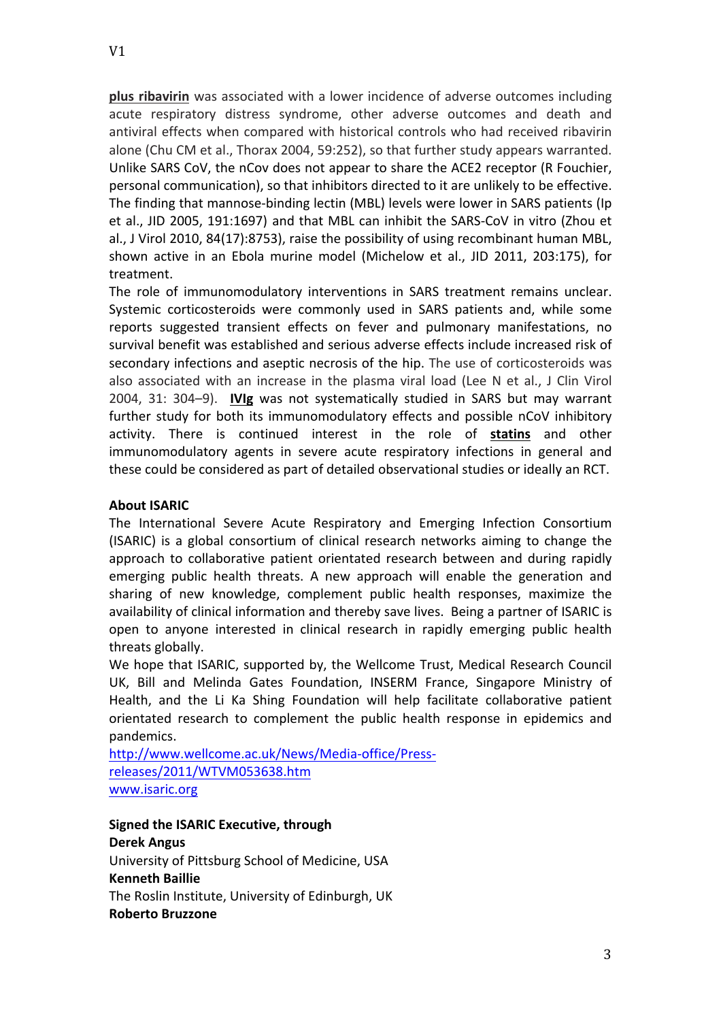**plus ribavirin** was associated with a lower incidence of adverse outcomes including acute respiratory distress syndrome, other adverse outcomes and death and antiviral effects when compared with historical controls who had received ribavirin alone (Chu CM et al., Thorax 2004, 59:252), so that further study appears warranted. Unlike SARS CoV, the nCov does not appear to share the ACE2 receptor (R Fouchier, personal communication), so that inhibitors directed to it are unlikely to be effective. The finding that mannose-binding lectin (MBL) levels were lower in SARS patients (Ip et al., JID 2005, 191:1697) and that MBL can inhibit the SARS-CoV in vitro (Zhou et

al., J Virol 2010, 84(17):8753), raise the possibility of using recombinant human MBL, shown active in an Ebola murine model (Michelow et al., JID 2011, 203:175), for treatment. The role of immunomodulatory interventions in SARS treatment remains unclear.

Systemic corticosteroids were commonly used in SARS patients and, while some reports suggested transient effects on fever and pulmonary manifestations, no survival benefit was established and serious adverse effects include increased risk of secondary infections and aseptic necrosis of the hip. The use of corticosteroids was also associated with an increase in the plasma viral load (Lee N et al., J Clin Virol 2004, 31: 304-9). **IVIg** was not systematically studied in SARS but may warrant further study for both its immunomodulatory effects and possible nCoV inhibitory activity. There is continued interest in the role of statins and other immunomodulatory agents in severe acute respiratory infections in general and these could be considered as part of detailed observational studies or ideally an RCT.

## **About ISARIC**

The International Severe Acute Respiratory and Emerging Infection Consortium (ISARIC) is a global consortium of clinical research networks aiming to change the approach to collaborative patient orientated research between and during rapidly emerging public health threats. A new approach will enable the generation and sharing of new knowledge, complement public health responses, maximize the availability of clinical information and thereby save lives. Being a partner of ISARIC is open to anyone interested in clinical research in rapidly emerging public health threats globally.

We hope that ISARIC, supported by, the Wellcome Trust, Medical Research Council UK, Bill and Melinda Gates Foundation, INSERM France, Singapore Ministry of Health, and the Li Ka Shing Foundation will help facilitate collaborative patient orientated research to complement the public health response in epidemics and pandemics.

http://www.wellcome.ac.uk/News/Media-office/Pressreleases/2011/WTVM053638.htm www.isaric.org

**Signed the ISARIC Executive, through Derek Angus** University of Pittsburg School of Medicine, USA **Kenneth Baillie** The Roslin Institute, University of Edinburgh, UK **Roberto Bruzzone**